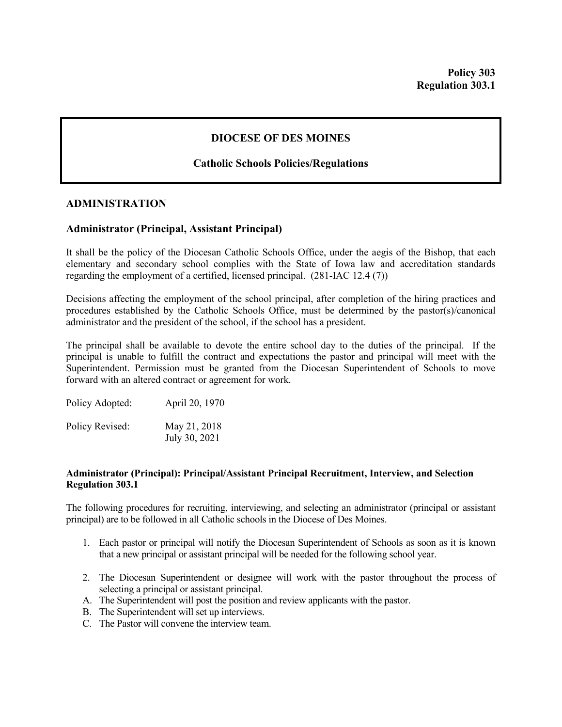# **DIOCESE OF DES MOINES**

## **Catholic Schools Policies/Regulations**

### **ADMINISTRATION**

## **Administrator (Principal, Assistant Principal)**

It shall be the policy of the Diocesan Catholic Schools Office, under the aegis of the Bishop, that each elementary and secondary school complies with the State of Iowa law and accreditation standards regarding the employment of a certified, licensed principal. (281-IAC 12.4 (7))

Decisions affecting the employment of the school principal, after completion of the hiring practices and procedures established by the Catholic Schools Office, must be determined by the pastor(s)/canonical administrator and the president of the school, if the school has a president.

The principal shall be available to devote the entire school day to the duties of the principal. If the principal is unable to fulfill the contract and expectations the pastor and principal will meet with the Superintendent. Permission must be granted from the Diocesan Superintendent of Schools to move forward with an altered contract or agreement for work.

| Policy Adopted: | April 20, 1970                |
|-----------------|-------------------------------|
| Policy Revised: | May 21, 2018<br>July 30, 2021 |

#### **Administrator (Principal): Principal/Assistant Principal Recruitment, Interview, and Selection Regulation 303.1**

The following procedures for recruiting, interviewing, and selecting an administrator (principal or assistant principal) are to be followed in all Catholic schools in the Diocese of Des Moines.

- 1. Each pastor or principal will notify the Diocesan Superintendent of Schools as soon as it is known that a new principal or assistant principal will be needed for the following school year.
- 2. The Diocesan Superintendent or designee will work with the pastor throughout the process of selecting a principal or assistant principal.
- A. The Superintendent will post the position and review applicants with the pastor.
- B. The Superintendent will set up interviews.
- C. The Pastor will convene the interview team.